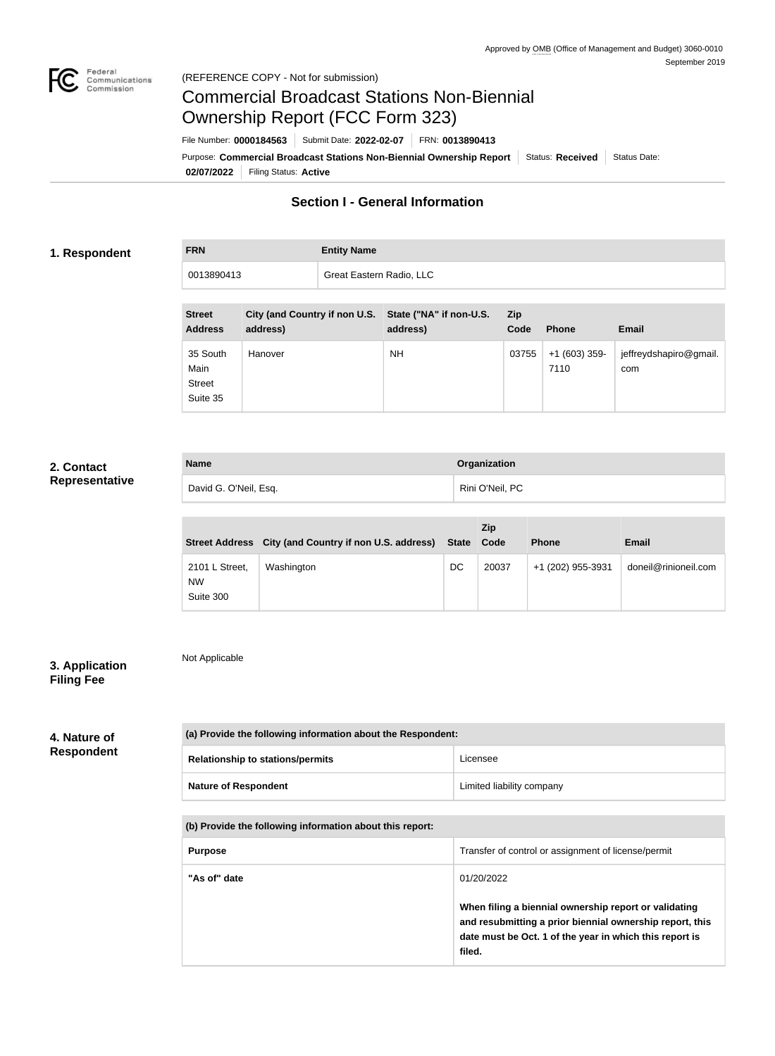

Not Applicable

# Commercial Broadcast Stations Non-Biennial Ownership Report (FCC Form 323)

**02/07/2022** Filing Status: **Active** Purpose: Commercial Broadcast Stations Non-Biennial Ownership Report Status: Received Status Date: File Number: **0000184563** Submit Date: **2022-02-07** FRN: **0013890413**

## **Section I - General Information**

## **1. Respondent**

**FRN Entity Name**

| 0013890413                      |          | Great Eastern Radio, LLC |                                                                   |             |              |       |  |
|---------------------------------|----------|--------------------------|-------------------------------------------------------------------|-------------|--------------|-------|--|
|                                 |          |                          |                                                                   |             |              |       |  |
| <b>Street</b><br><b>Address</b> | address) |                          | City (and Country if non U.S. State ("NA" if non-U.S.<br>address) | Zip<br>Code | <b>Phone</b> | Email |  |

| <b>Address</b>                                | address) | address)  | Code  | <b>Phone</b>           | <b>Email</b>                  |
|-----------------------------------------------|----------|-----------|-------|------------------------|-------------------------------|
| 35 South<br>Main<br><b>Street</b><br>Suite 35 | Hanover  | <b>NH</b> | 03755 | $+1(603)$ 359-<br>7110 | jeffreydshapiro@gmail.<br>com |

## **2. Contact Representative**

| <b>Name</b>           | Organization    |
|-----------------------|-----------------|
| David G. O'Neil, Esq. | Rini O'Neil, PC |

|                                          | Street Address City (and Country if non U.S. address) | <b>State</b> | <b>Zip</b><br>Code | <b>Phone</b>      | Email                |
|------------------------------------------|-------------------------------------------------------|--------------|--------------------|-------------------|----------------------|
| 2101 L Street,<br><b>NW</b><br>Suite 300 | Washington                                            | DC           | 20037              | +1 (202) 955-3931 | doneil@rinioneil.com |

## **3. Application Filing Fee**

## **4. Nature of Respondent**

| (a) Provide the following information about the Respondent: |                           |  |
|-------------------------------------------------------------|---------------------------|--|
| <b>Relationship to stations/permits</b>                     | Licensee                  |  |
| <b>Nature of Respondent</b>                                 | Limited liability company |  |

| (b) Provide the following information about this report: |
|----------------------------------------------------------|
|----------------------------------------------------------|

| <b>Purpose</b> | Transfer of control or assignment of license/permit                                                                                                                                    |
|----------------|----------------------------------------------------------------------------------------------------------------------------------------------------------------------------------------|
| "As of" date   | 01/20/2022                                                                                                                                                                             |
|                | When filing a biennial ownership report or validating<br>and resubmitting a prior biennial ownership report, this<br>date must be Oct. 1 of the year in which this report is<br>filed. |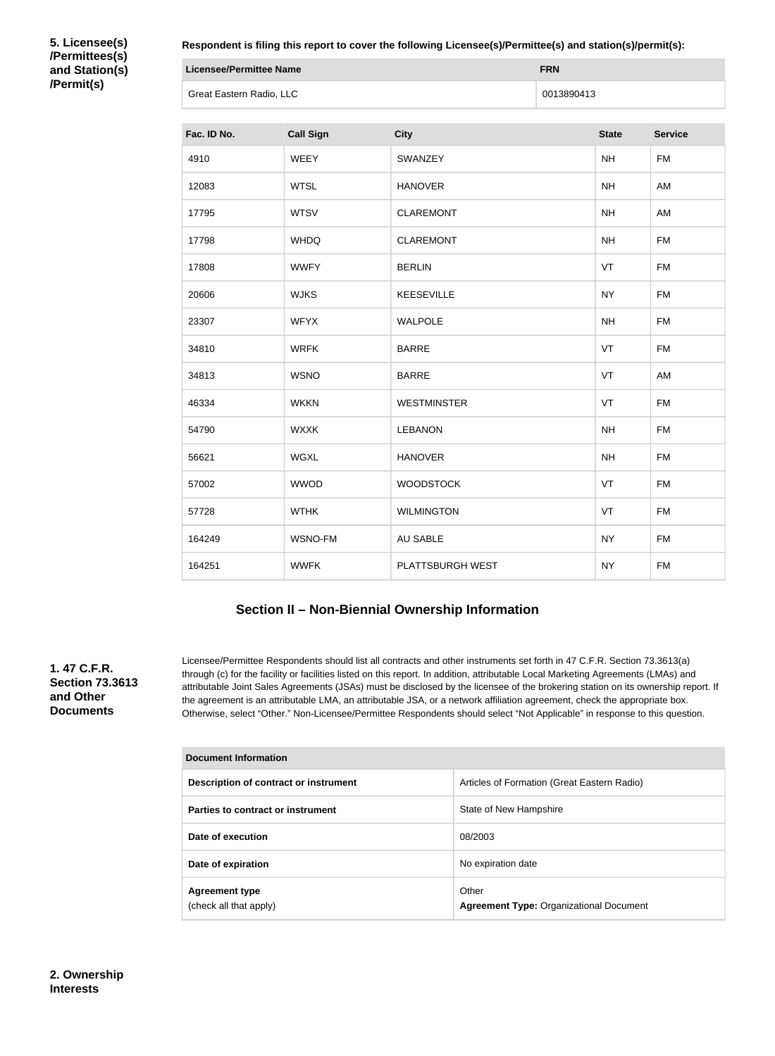**5. Licensee(s) /Permittees(s) and Station(s) /Permit(s)**

**Respondent is filing this report to cover the following Licensee(s)/Permittee(s) and station(s)/permit(s):**

| Licensee/Permittee Name  | <b>FRN</b> |
|--------------------------|------------|
| Great Eastern Radio, LLC | 0013890413 |

| Fac. ID No. | <b>Call Sign</b> | <b>City</b>        | <b>State</b> | <b>Service</b> |
|-------------|------------------|--------------------|--------------|----------------|
| 4910        | <b>WEEY</b>      | SWANZEY            | <b>NH</b>    | <b>FM</b>      |
| 12083       | <b>WTSL</b>      | <b>HANOVER</b>     | <b>NH</b>    | AM             |
| 17795       | <b>WTSV</b>      | <b>CLAREMONT</b>   | <b>NH</b>    | AM             |
| 17798       | <b>WHDQ</b>      | <b>CLAREMONT</b>   | <b>NH</b>    | <b>FM</b>      |
| 17808       | <b>WWFY</b>      | <b>BERLIN</b>      | VT           | <b>FM</b>      |
| 20606       | <b>WJKS</b>      | <b>KEESEVILLE</b>  | <b>NY</b>    | <b>FM</b>      |
| 23307       | <b>WFYX</b>      | <b>WALPOLE</b>     | <b>NH</b>    | <b>FM</b>      |
| 34810       | <b>WRFK</b>      | <b>BARRE</b>       | VT           | <b>FM</b>      |
| 34813       | <b>WSNO</b>      | <b>BARRE</b>       | VT           | AM             |
| 46334       | <b>WKKN</b>      | <b>WESTMINSTER</b> | VT           | <b>FM</b>      |
| 54790       | <b>WXXK</b>      | <b>LEBANON</b>     | <b>NH</b>    | <b>FM</b>      |
| 56621       | <b>WGXL</b>      | <b>HANOVER</b>     | <b>NH</b>    | <b>FM</b>      |
| 57002       | <b>WWOD</b>      | <b>WOODSTOCK</b>   | VT           | <b>FM</b>      |
| 57728       | <b>WTHK</b>      | <b>WILMINGTON</b>  | VT           | <b>FM</b>      |
| 164249      | WSNO-FM          | <b>AU SABLE</b>    | <b>NY</b>    | <b>FM</b>      |
| 164251      | <b>WWFK</b>      | PLATTSBURGH WEST   | <b>NY</b>    | <b>FM</b>      |

## **Section II – Non-Biennial Ownership Information**

**1. 47 C.F.R. Section 73.3613 and Other Documents**

Licensee/Permittee Respondents should list all contracts and other instruments set forth in 47 C.F.R. Section 73.3613(a) through (c) for the facility or facilities listed on this report. In addition, attributable Local Marketing Agreements (LMAs) and attributable Joint Sales Agreements (JSAs) must be disclosed by the licensee of the brokering station on its ownership report. If the agreement is an attributable LMA, an attributable JSA, or a network affiliation agreement, check the appropriate box. Otherwise, select "Other." Non-Licensee/Permittee Respondents should select "Not Applicable" in response to this question.

| <b>Document Information</b>                     |                                                         |  |
|-------------------------------------------------|---------------------------------------------------------|--|
| Description of contract or instrument           | Articles of Formation (Great Eastern Radio)             |  |
| Parties to contract or instrument               | State of New Hampshire                                  |  |
| Date of execution                               | 08/2003                                                 |  |
| Date of expiration                              | No expiration date                                      |  |
| <b>Agreement type</b><br>(check all that apply) | Other<br><b>Agreement Type: Organizational Document</b> |  |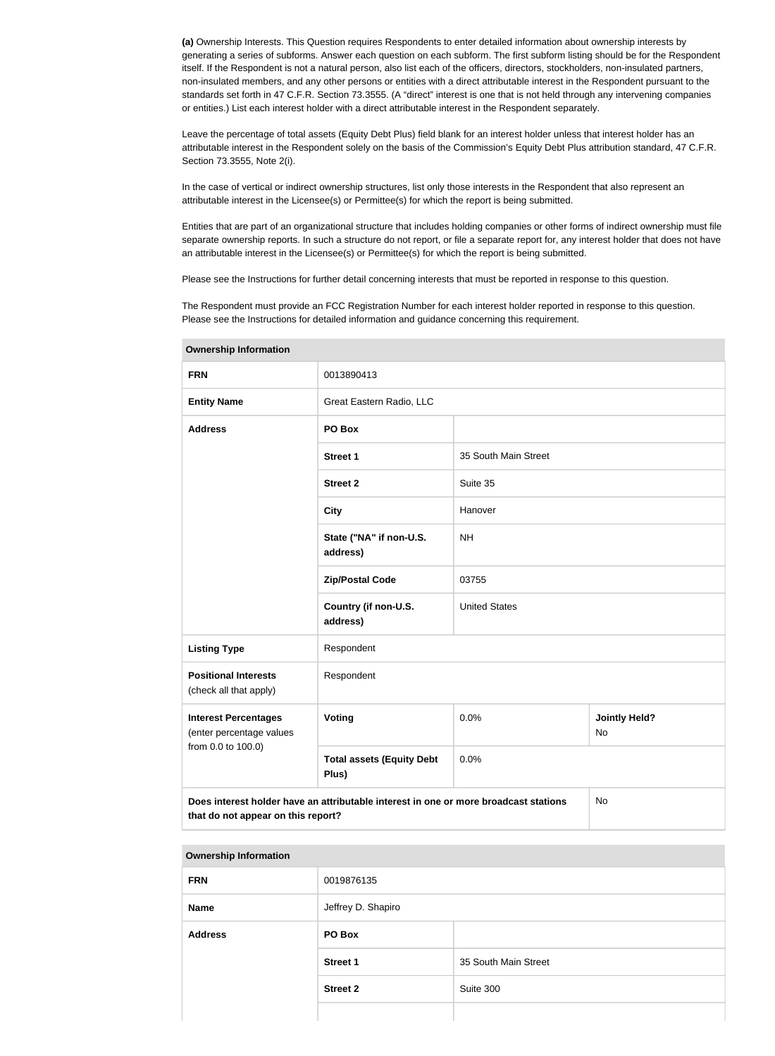**(a)** Ownership Interests. This Question requires Respondents to enter detailed information about ownership interests by generating a series of subforms. Answer each question on each subform. The first subform listing should be for the Respondent itself. If the Respondent is not a natural person, also list each of the officers, directors, stockholders, non-insulated partners, non-insulated members, and any other persons or entities with a direct attributable interest in the Respondent pursuant to the standards set forth in 47 C.F.R. Section 73.3555. (A "direct" interest is one that is not held through any intervening companies or entities.) List each interest holder with a direct attributable interest in the Respondent separately.

Leave the percentage of total assets (Equity Debt Plus) field blank for an interest holder unless that interest holder has an attributable interest in the Respondent solely on the basis of the Commission's Equity Debt Plus attribution standard, 47 C.F.R. Section 73.3555, Note 2(i).

In the case of vertical or indirect ownership structures, list only those interests in the Respondent that also represent an attributable interest in the Licensee(s) or Permittee(s) for which the report is being submitted.

Entities that are part of an organizational structure that includes holding companies or other forms of indirect ownership must file separate ownership reports. In such a structure do not report, or file a separate report for, any interest holder that does not have an attributable interest in the Licensee(s) or Permittee(s) for which the report is being submitted.

Please see the Instructions for further detail concerning interests that must be reported in response to this question.

The Respondent must provide an FCC Registration Number for each interest holder reported in response to this question. Please see the Instructions for detailed information and guidance concerning this requirement.

| <b>UWIIGI SHIP IHIUI IHAUUH</b>                                                                                                  |                                           |                      |                                   |  |
|----------------------------------------------------------------------------------------------------------------------------------|-------------------------------------------|----------------------|-----------------------------------|--|
| <b>FRN</b>                                                                                                                       | 0013890413                                |                      |                                   |  |
| <b>Entity Name</b>                                                                                                               | Great Eastern Radio, LLC                  |                      |                                   |  |
| <b>Address</b>                                                                                                                   | PO Box                                    |                      |                                   |  |
|                                                                                                                                  | <b>Street 1</b>                           | 35 South Main Street |                                   |  |
|                                                                                                                                  | <b>Street 2</b>                           | Suite 35             |                                   |  |
|                                                                                                                                  | <b>City</b>                               | Hanover              |                                   |  |
|                                                                                                                                  | State ("NA" if non-U.S.<br>address)       | <b>NH</b>            |                                   |  |
|                                                                                                                                  | <b>Zip/Postal Code</b>                    | 03755                |                                   |  |
|                                                                                                                                  | Country (if non-U.S.<br>address)          | <b>United States</b> |                                   |  |
| <b>Listing Type</b>                                                                                                              | Respondent                                |                      |                                   |  |
| <b>Positional Interests</b><br>(check all that apply)                                                                            | Respondent                                |                      |                                   |  |
| <b>Interest Percentages</b><br>(enter percentage values                                                                          | <b>Voting</b>                             | 0.0%                 | <b>Jointly Held?</b><br><b>No</b> |  |
| from 0.0 to 100.0)                                                                                                               | <b>Total assets (Equity Debt</b><br>Plus) | 0.0%                 |                                   |  |
| Does interest holder have an attributable interest in one or more broadcast stations<br>No<br>that do not appear on this report? |                                           |                      |                                   |  |

**Ownership Information**

| <b>Ownership Information</b> |                    |                      |  |
|------------------------------|--------------------|----------------------|--|
| <b>FRN</b>                   | 0019876135         |                      |  |
| <b>Name</b>                  | Jeffrey D. Shapiro |                      |  |
| <b>Address</b>               | PO Box             |                      |  |
|                              | <b>Street 1</b>    | 35 South Main Street |  |
|                              | <b>Street 2</b>    | Suite 300            |  |
|                              |                    |                      |  |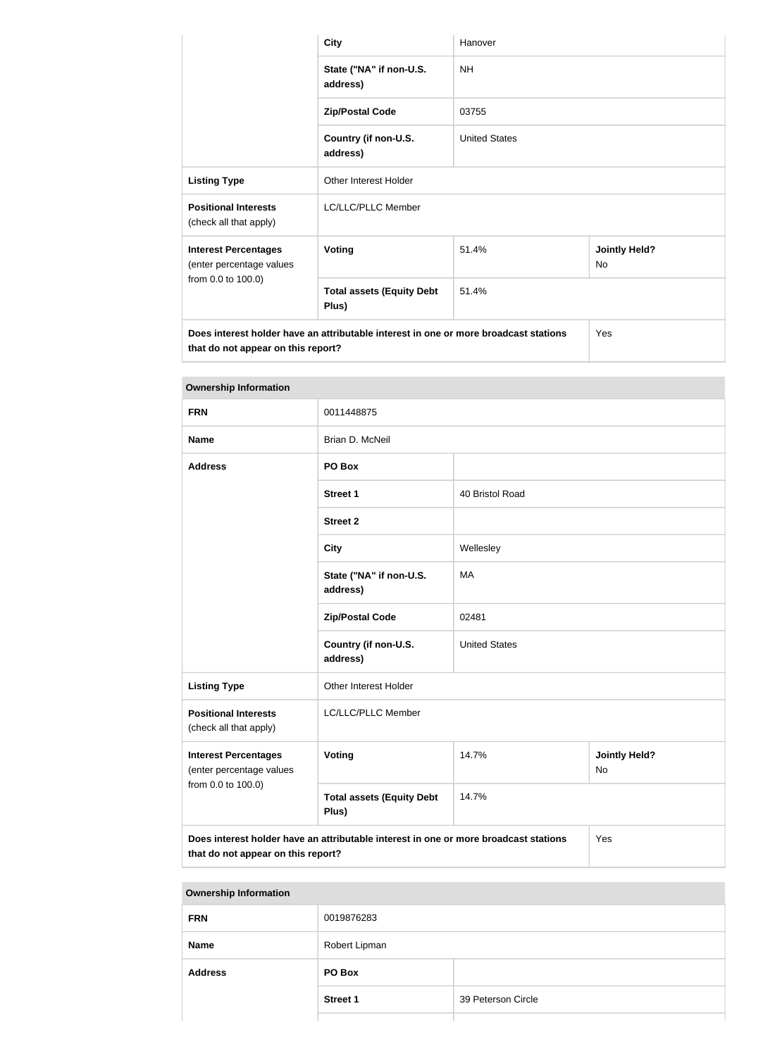|                                                                                                                            | <b>City</b>                               | Hanover              |                            |  |
|----------------------------------------------------------------------------------------------------------------------------|-------------------------------------------|----------------------|----------------------------|--|
|                                                                                                                            | State ("NA" if non-U.S.<br>address)       | NH.                  |                            |  |
|                                                                                                                            | <b>Zip/Postal Code</b>                    | 03755                |                            |  |
|                                                                                                                            | Country (if non-U.S.<br>address)          | <b>United States</b> |                            |  |
| <b>Listing Type</b>                                                                                                        | <b>Other Interest Holder</b>              |                      |                            |  |
| <b>Positional Interests</b><br>(check all that apply)                                                                      | LC/LLC/PLLC Member                        |                      |                            |  |
| <b>Interest Percentages</b><br>(enter percentage values                                                                    | <b>Voting</b>                             | 51.4%                | <b>Jointly Held?</b><br>No |  |
| from 0.0 to 100.0)                                                                                                         | <b>Total assets (Equity Debt</b><br>Plus) | 51.4%                |                            |  |
| Does interest holder have an attributable interest in one or more broadcast stations<br>that do not appear on this report? |                                           |                      | Yes                        |  |

## **Ownership Information**

| <b>FRN</b>                                                                                                                        | 0011448875                                |                                     |  |  |
|-----------------------------------------------------------------------------------------------------------------------------------|-------------------------------------------|-------------------------------------|--|--|
| <b>Name</b>                                                                                                                       | Brian D. McNeil                           |                                     |  |  |
| <b>Address</b>                                                                                                                    | PO Box                                    |                                     |  |  |
|                                                                                                                                   | <b>Street 1</b>                           | 40 Bristol Road                     |  |  |
|                                                                                                                                   | <b>Street 2</b>                           |                                     |  |  |
|                                                                                                                                   | <b>City</b>                               | Wellesley                           |  |  |
|                                                                                                                                   | State ("NA" if non-U.S.<br>address)       | <b>MA</b>                           |  |  |
|                                                                                                                                   | <b>Zip/Postal Code</b>                    | 02481                               |  |  |
|                                                                                                                                   | Country (if non-U.S.<br>address)          | <b>United States</b>                |  |  |
| <b>Listing Type</b>                                                                                                               | Other Interest Holder                     |                                     |  |  |
| <b>Positional Interests</b><br>(check all that apply)                                                                             | LC/LLC/PLLC Member                        |                                     |  |  |
| <b>Interest Percentages</b><br>(enter percentage values                                                                           | <b>Voting</b>                             | 14.7%<br><b>Jointly Held?</b><br>No |  |  |
| from 0.0 to 100.0)                                                                                                                | <b>Total assets (Equity Debt</b><br>Plus) | 14.7%                               |  |  |
| Does interest holder have an attributable interest in one or more broadcast stations<br>Yes<br>that do not appear on this report? |                                           |                                     |  |  |

### **Ownership Information**

| . .            |                 |                    |
|----------------|-----------------|--------------------|
| <b>FRN</b>     | 0019876283      |                    |
| <b>Name</b>    | Robert Lipman   |                    |
| <b>Address</b> | PO Box          |                    |
|                | <b>Street 1</b> | 39 Peterson Circle |
|                |                 |                    |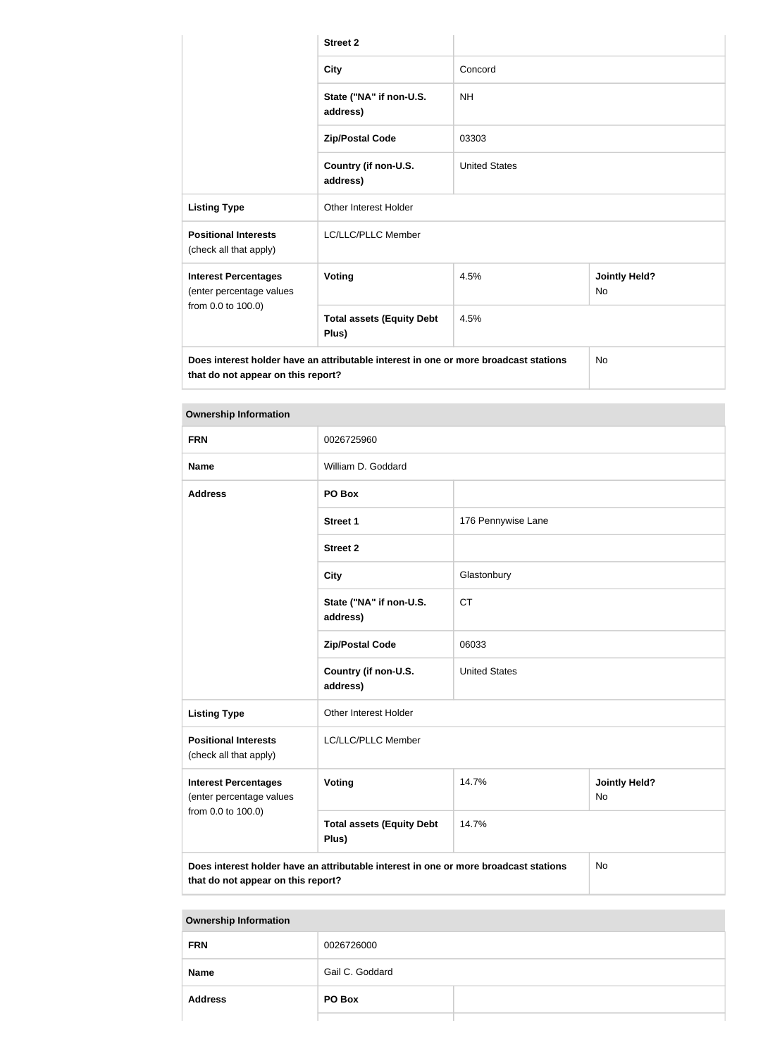|                                                                                                                            | <b>Street 2</b>                           |                      |                            |
|----------------------------------------------------------------------------------------------------------------------------|-------------------------------------------|----------------------|----------------------------|
|                                                                                                                            | <b>City</b>                               | Concord              |                            |
|                                                                                                                            | State ("NA" if non-U.S.<br>address)       | <b>NH</b>            |                            |
|                                                                                                                            | <b>Zip/Postal Code</b>                    | 03303                |                            |
|                                                                                                                            | Country (if non-U.S.<br>address)          | <b>United States</b> |                            |
| <b>Listing Type</b>                                                                                                        | <b>Other Interest Holder</b>              |                      |                            |
| <b>Positional Interests</b><br>(check all that apply)                                                                      | LC/LLC/PLLC Member                        |                      |                            |
| <b>Interest Percentages</b><br>(enter percentage values                                                                    | <b>Voting</b>                             | 4.5%                 | <b>Jointly Held?</b><br>No |
| from 0.0 to 100.0)                                                                                                         | <b>Total assets (Equity Debt</b><br>Plus) | 4.5%                 |                            |
| Does interest holder have an attributable interest in one or more broadcast stations<br>that do not appear on this report? |                                           |                      | No                         |

| <b>Ownership Information</b>                                                                                                            |                                           |                      |                            |
|-----------------------------------------------------------------------------------------------------------------------------------------|-------------------------------------------|----------------------|----------------------------|
| <b>FRN</b>                                                                                                                              | 0026725960                                |                      |                            |
| <b>Name</b>                                                                                                                             | William D. Goddard                        |                      |                            |
| <b>Address</b>                                                                                                                          | PO Box                                    |                      |                            |
|                                                                                                                                         | <b>Street 1</b>                           | 176 Pennywise Lane   |                            |
|                                                                                                                                         | <b>Street 2</b>                           |                      |                            |
|                                                                                                                                         | <b>City</b>                               | Glastonbury          |                            |
|                                                                                                                                         | State ("NA" if non-U.S.<br>address)       | <b>CT</b>            |                            |
|                                                                                                                                         | <b>Zip/Postal Code</b>                    | 06033                |                            |
|                                                                                                                                         | Country (if non-U.S.<br>address)          | <b>United States</b> |                            |
| <b>Listing Type</b>                                                                                                                     | Other Interest Holder                     |                      |                            |
| <b>Positional Interests</b><br>(check all that apply)                                                                                   | LC/LLC/PLLC Member                        |                      |                            |
| <b>Interest Percentages</b><br>(enter percentage values                                                                                 | Voting                                    | 14.7%                | <b>Jointly Held?</b><br>No |
| from 0.0 to 100.0)                                                                                                                      | <b>Total assets (Equity Debt</b><br>Plus) | 14.7%                |                            |
| Does interest holder have an attributable interest in one or more broadcast stations<br><b>No</b><br>that do not appear on this report? |                                           |                      |                            |

| <b>FRN</b>     | 0026726000      |  |
|----------------|-----------------|--|
| <b>Name</b>    | Gail C. Goddard |  |
| <b>Address</b> | PO Box          |  |
|                |                 |  |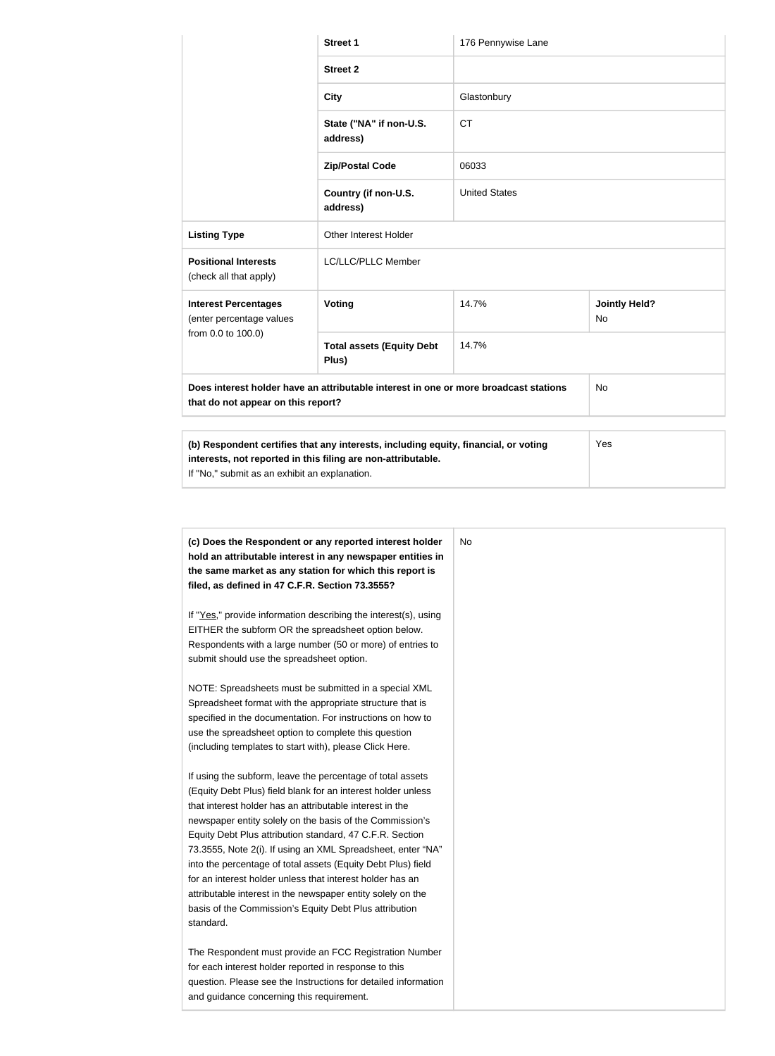|                                                         | <b>Street 1</b>                                                                      | 176 Pennywise Lane   |                                   |
|---------------------------------------------------------|--------------------------------------------------------------------------------------|----------------------|-----------------------------------|
|                                                         | <b>Street 2</b>                                                                      |                      |                                   |
|                                                         | <b>City</b>                                                                          | Glastonbury          |                                   |
|                                                         | State ("NA" if non-U.S.<br>address)                                                  | <b>CT</b>            |                                   |
|                                                         | <b>Zip/Postal Code</b>                                                               | 06033                |                                   |
|                                                         | Country (if non-U.S.<br>address)                                                     | <b>United States</b> |                                   |
| <b>Listing Type</b>                                     | Other Interest Holder                                                                |                      |                                   |
| <b>Positional Interests</b><br>(check all that apply)   | LC/LLC/PLLC Member                                                                   |                      |                                   |
| <b>Interest Percentages</b><br>(enter percentage values | Voting                                                                               | 14.7%                | <b>Jointly Held?</b><br><b>No</b> |
| from 0.0 to 100.0)                                      | <b>Total assets (Equity Debt</b><br>Plus)                                            | 14.7%                |                                   |
| that do not appear on this report?                      | Does interest holder have an attributable interest in one or more broadcast stations |                      | <b>No</b>                         |
|                                                         |                                                                                      |                      |                                   |
| $\cdots$                                                | .                                                                                    |                      | $\lambda$                         |

| (b) Respondent certifies that any interests, including equity, financial, or voting | <b>Yes</b> |
|-------------------------------------------------------------------------------------|------------|
| interests, not reported in this filing are non-attributable.                        |            |
| If "No," submit as an exhibit an explanation.                                       |            |

| (c) Does the Respondent or any reported interest holder         | N <sub>o</sub> |
|-----------------------------------------------------------------|----------------|
| hold an attributable interest in any newspaper entities in      |                |
| the same market as any station for which this report is         |                |
| filed, as defined in 47 C.F.R. Section 73.3555?                 |                |
| If "Yes," provide information describing the interest(s), using |                |
| EITHER the subform OR the spreadsheet option below.             |                |
| Respondents with a large number (50 or more) of entries to      |                |
| submit should use the spreadsheet option.                       |                |
| NOTE: Spreadsheets must be submitted in a special XML           |                |
| Spreadsheet format with the appropriate structure that is       |                |
| specified in the documentation. For instructions on how to      |                |
| use the spreadsheet option to complete this question            |                |
| (including templates to start with), please Click Here.         |                |
| If using the subform, leave the percentage of total assets      |                |
| (Equity Debt Plus) field blank for an interest holder unless    |                |
| that interest holder has an attributable interest in the        |                |
| newspaper entity solely on the basis of the Commission's        |                |
| Equity Debt Plus attribution standard, 47 C.F.R. Section        |                |
| 73.3555, Note 2(i). If using an XML Spreadsheet, enter "NA"     |                |
| into the percentage of total assets (Equity Debt Plus) field    |                |
| for an interest holder unless that interest holder has an       |                |
| attributable interest in the newspaper entity solely on the     |                |
| basis of the Commission's Equity Debt Plus attribution          |                |
| standard.                                                       |                |
| The Respondent must provide an FCC Registration Number          |                |
| for each interest holder reported in response to this           |                |
| question. Please see the Instructions for detailed information  |                |
| and guidance concerning this requirement.                       |                |